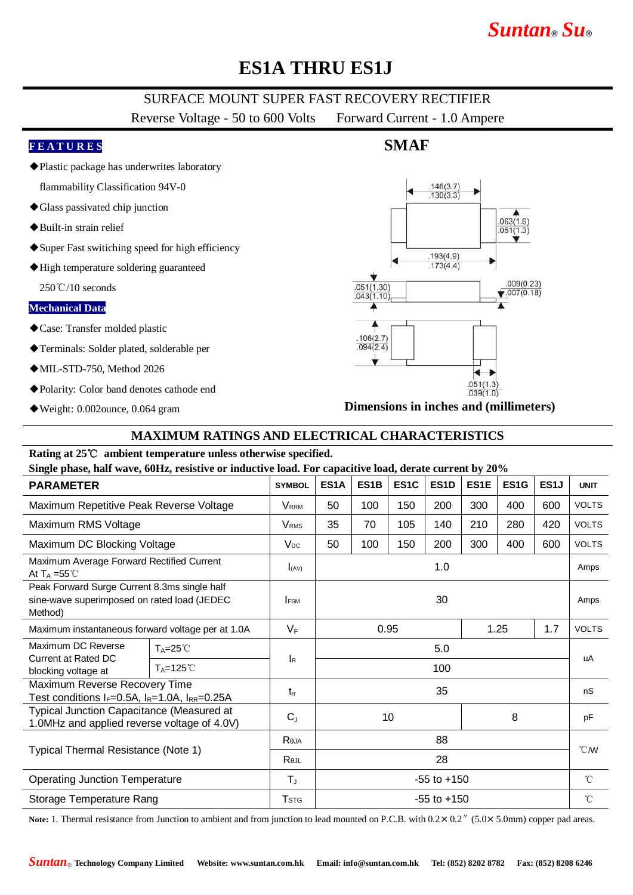# *Suntan***®** *Su***®**

## **ES1A THRU ES1J**

### SURFACE MOUNT SUPER FAST RECOVERY RECTIFIER

Reverse Voltage - 50 to 600 Volts Forward Current - 1.0 Ampere

#### **F E A T U R E S**

◆Plastic package has underwrites laboratory

flammability Classification 94V-0

- ◆Glass passivated chip junction
- ◆Built-in strain relief
- ◆Super Fast switiching speed for high efficiency
- ◆High temperature soldering guaranteed

250℃/10 seconds

#### **Mechanical Data**

- ◆Case: Transfer molded plastic
- ◆Terminals: Solder plated, solderable per
- ◆MIL-STD-750, Method 2026
- ◆Polarity: Color band denotes cathode end
- ◆Weight: 0.002ounce, 0.064 gram

## **SMAF**



**Dimensions in inches and (millimeters)**

#### **MAXIMUM RATINGS AND ELECTRICAL CHARACTERISTICS**

### **Rating at 25**℃ **ambient temperature unless otherwise specified.**

**Single phase, half wave, 60Hz, resistive or inductive load. For capacitive load, derate current by 20%**

| <b>PARAMETER</b>                                                                                       |                      | <b>SYMBOL</b>             | ES <sub>1</sub> A | ES <sub>1</sub> B | ES <sub>1</sub> C | ES <sub>1</sub> D | ES <sub>1</sub> E | ES <sub>1</sub> G | ES <sub>1</sub> J | <b>UNIT</b>       |
|--------------------------------------------------------------------------------------------------------|----------------------|---------------------------|-------------------|-------------------|-------------------|-------------------|-------------------|-------------------|-------------------|-------------------|
| Maximum Repetitive Peak Reverse Voltage                                                                |                      | <b>VRRM</b>               | 50                | 100               | 150               | 200               | 300               | 400               | 600               | <b>VOLTS</b>      |
| Maximum RMS Voltage                                                                                    |                      | <b>V</b> <sub>RMS</sub>   | 35                | 70                | 105               | 140               | 210               | 280               | 420               | <b>VOLTS</b>      |
| Maximum DC Blocking Voltage                                                                            |                      | $V_{DC}$                  | 50                | 100               | 150               | 200               | 300               | 400               | 600               | <b>VOLTS</b>      |
| Maximum Average Forward Rectified Current<br>At $T_A = 55^{\circ}$ C                                   |                      | I(AV)                     | 1.0               |                   |                   |                   |                   |                   | Amps              |                   |
| Peak Forward Surge Current 8.3ms single half<br>sine-wave superimposed on rated load (JEDEC<br>Method) |                      | <b>FSM</b>                | 30                |                   |                   |                   |                   |                   |                   | Amps              |
| Maximum instantaneous forward voltage per at 1.0A                                                      |                      | $V_F$                     | 0.95              |                   |                   | 1.25              |                   | 1.7               | <b>VOLTS</b>      |                   |
| Maximum DC Reverse<br>Current at Rated DC<br>blocking voltage at                                       | $T_A = 25^{\circ}$   |                           | 5.0               |                   |                   |                   |                   |                   |                   |                   |
|                                                                                                        | $T_A = 125^{\circ}C$ | $\mathsf{I}_{\mathsf{R}}$ |                   | 100               |                   |                   |                   |                   |                   | uA                |
| Maximum Reverse Recovery Time<br>Test conditions $I_F=0.5A$ , $I_R=1.0A$ , $I_{RR}=0.25A$              |                      | $t_{rr}$                  | 35                |                   |                   |                   |                   |                   | nS                |                   |
| Typical Junction Capacitance (Measured at<br>1.0MHz and applied reverse voltage of 4.0V)               |                      | $C_{J}$                   | 10                |                   |                   | 8                 |                   | pF                |                   |                   |
| Typical Thermal Resistance (Note 1)                                                                    |                      | Reja                      | 88                |                   |                   |                   |                   |                   |                   | $\mathcal{C}$ / W |
|                                                                                                        |                      | Rejl                      | 28                |                   |                   |                   |                   |                   |                   |                   |
| <b>Operating Junction Temperature</b>                                                                  |                      | $T_{\rm J}$               | $-55$ to $+150$   |                   |                   |                   |                   |                   | $^{\circ}$ C      |                   |
| Storage Temperature Rang                                                                               |                      | <b>T</b> <sub>STG</sub>   | $-55$ to $+150$   |                   |                   |                   |                   |                   |                   | °C                |

Note: 1. Thermal resistance from Junction to ambient and from junction to lead mounted on P.C.B. with  $0.2 \times 0.2$ <sup>"</sup> (5.0×5.0mm) copper pad areas.